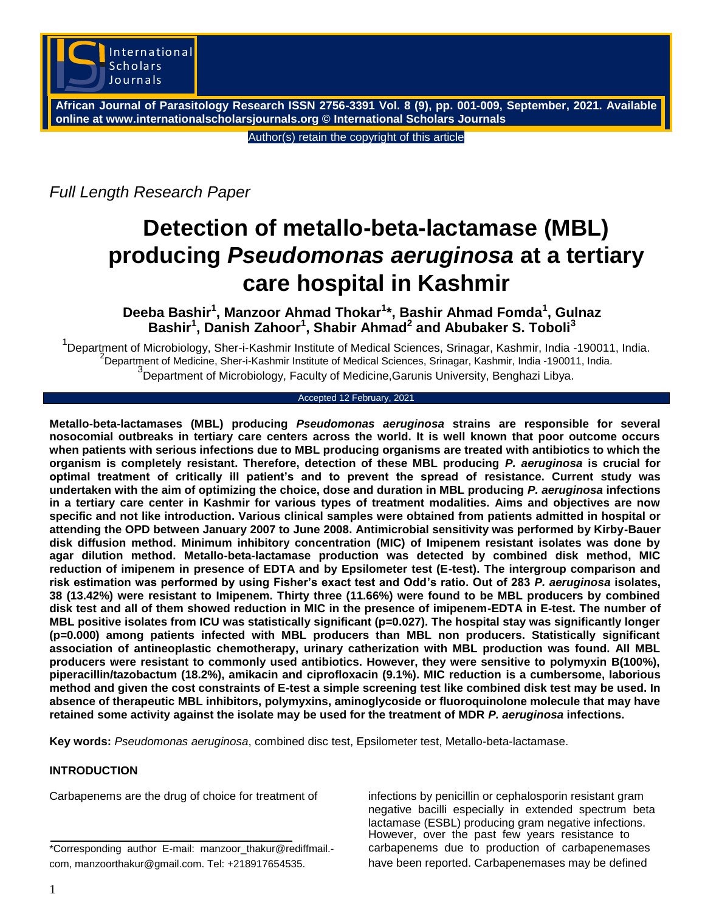

**African Journal of Parasitology Research ISSN 2756-3391 Vol. 8 (9), pp. 001-009, September, 2021. Available online at www.internationalscholarsjournals.org © International Scholars Journals**

Author(s) retain the copyright of this article

*Full Length Research Paper*

# **Detection of metallo-beta-lactamase (MBL) producing** *Pseudomonas aeruginosa* **at a tertiary care hospital in Kashmir**

**Deeba Bashir<sup>1</sup> , Manzoor Ahmad Thokar<sup>1</sup> \*, Bashir Ahmad Fomda<sup>1</sup> , Gulnaz Bashir<sup>1</sup> , Danish Zahoor<sup>1</sup> , Shabir Ahmad<sup>2</sup> and Abubaker S. Toboli<sup>3</sup>**

<sup>1</sup>Department of Microbiology, Sher-i-Kashmir Institute of Medical Sciences, Srinagar, Kashmir, India -190011, India. <sup>2</sup>Department of Medicine, Sher-i-Kashmir Institute of Medical Sciences, Srinagar, Kashmir, India -190011, India. <sup>3</sup>Department of Microbiology, Faculty of Medicine,Garunis University, Benghazi Libya.

## Accepted 12 February, 2021

**Metallo-beta-lactamases (MBL) producing** *Pseudomonas aeruginosa* **strains are responsible for several nosocomial outbreaks in tertiary care centers across the world. It is well known that poor outcome occurs when patients with serious infections due to MBL producing organisms are treated with antibiotics to which the organism is completely resistant. Therefore, detection of these MBL producing** *P. aeruginosa* **is crucial for optimal treatment of critically ill patient's and to prevent the spread of resistance. Current study was undertaken with the aim of optimizing the choice, dose and duration in MBL producing** *P. aeruginosa* **infections in a tertiary care center in Kashmir for various types of treatment modalities. Aims and objectives are now specific and not like introduction. Various clinical samples were obtained from patients admitted in hospital or attending the OPD between January 2007 to June 2008. Antimicrobial sensitivity was performed by Kirby-Bauer disk diffusion method. Minimum inhibitory concentration (MIC) of Imipenem resistant isolates was done by agar dilution method. Metallo-beta-lactamase production was detected by combined disk method, MIC reduction of imipenem in presence of EDTA and by Epsilometer test (E-test). The intergroup comparison and risk estimation was performed by using Fisher's exact test and Odd's ratio. Out of 283** *P. aeruginosa* **isolates, 38 (13.42%) were resistant to Imipenem. Thirty three (11.66%) were found to be MBL producers by combined disk test and all of them showed reduction in MIC in the presence of imipenem-EDTA in E-test. The number of MBL positive isolates from ICU was statistically significant (p=0.027). The hospital stay was significantly longer (p=0.000) among patients infected with MBL producers than MBL non producers. Statistically significant association of antineoplastic chemotherapy, urinary catherization with MBL production was found. All MBL producers were resistant to commonly used antibiotics. However, they were sensitive to polymyxin B(100%), piperacillin/tazobactum (18.2%), amikacin and ciprofloxacin (9.1%). MIC reduction is a cumbersome, laborious method and given the cost constraints of E-test a simple screening test like combined disk test may be used. In absence of therapeutic MBL inhibitors, polymyxins, aminoglycoside or fluoroquinolone molecule that may have retained some activity against the isolate may be used for the treatment of MDR** *P. aeruginosa* **infections.**

**Key words:** *Pseudomonas aeruginosa*, combined disc test, Epsilometer test, Metallo-beta-lactamase.

# **INTRODUCTION**

Carbapenems are the drug of choice for treatment of infections by penicillin or cephalosporin resistant gram

negative bacilli especially in extended spectrum beta lactamase (ESBL) producing gram negative infections. However, over the past few years resistance to \*Corresponding author E-mail: manzoor\_thakur@rediffmail.- carbapenems due to production of carbapenemases

com, manzoorthakur@gmail.com. Tel: +218917654535. have been reported. Carbapenemases may be defined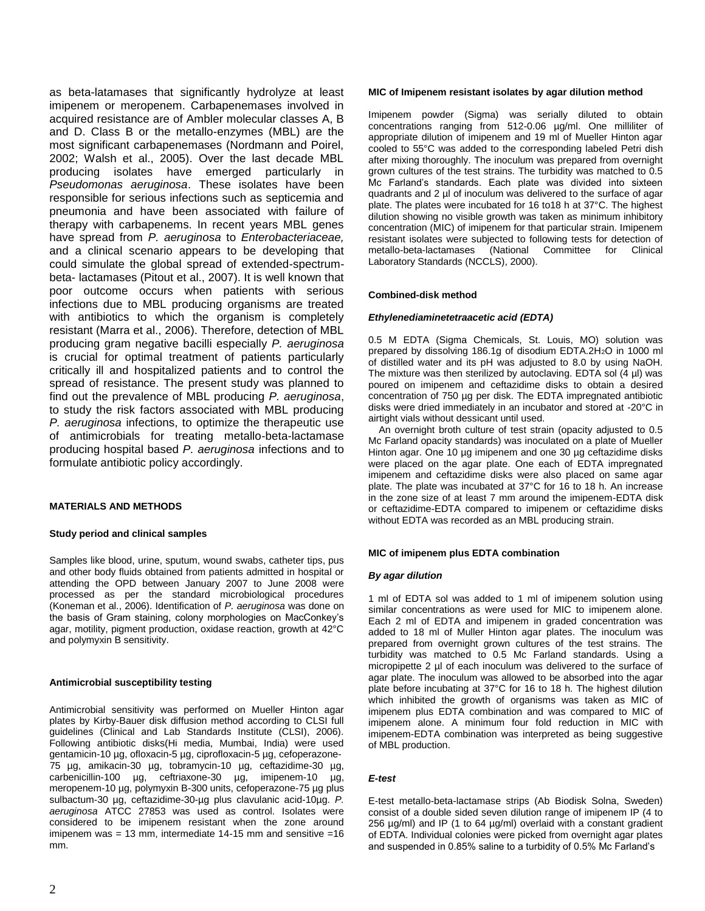as beta-latamases that significantly hydrolyze at least imipenem or meropenem. Carbapenemases involved in acquired resistance are of Ambler molecular classes A, B and D. Class B or the metallo-enzymes (MBL) are the most significant carbapenemases (Nordmann and Poirel, 2002; Walsh et al., 2005). Over the last decade MBL producing isolates have emerged particularly in *Pseudomonas aeruginosa*. These isolates have been responsible for serious infections such as septicemia and pneumonia and have been associated with failure of therapy with carbapenems. In recent years MBL genes have spread from *P. aeruginosa* to *Enterobacteriaceae,* and a clinical scenario appears to be developing that could simulate the global spread of extended-spectrumbeta- lactamases (Pitout et al., 2007). It is well known that poor outcome occurs when patients with serious infections due to MBL producing organisms are treated with antibiotics to which the organism is completely resistant (Marra et al., 2006). Therefore, detection of MBL producing gram negative bacilli especially *P. aeruginosa* is crucial for optimal treatment of patients particularly critically ill and hospitalized patients and to control the spread of resistance. The present study was planned to find out the prevalence of MBL producing *P. aeruginosa*, to study the risk factors associated with MBL producing *P. aeruginosa* infections, to optimize the therapeutic use of antimicrobials for treating metallo-beta-lactamase producing hospital based *P. aeruginosa* infections and to formulate antibiotic policy accordingly.

## **MATERIALS AND METHODS**

## **Study period and clinical samples**

Samples like blood, urine, sputum, wound swabs, catheter tips, pus and other body fluids obtained from patients admitted in hospital or attending the OPD between January 2007 to June 2008 were processed as per the standard microbiological procedures (Koneman et al., 2006). Identification of *P. aeruginosa* was done on the basis of Gram staining, colony morphologies on MacConkey's agar, motility, pigment production, oxidase reaction, growth at 42°C and polymyxin B sensitivity.

#### **Antimicrobial susceptibility testing**

Antimicrobial sensitivity was performed on Mueller Hinton agar plates by Kirby-Bauer disk diffusion method according to CLSI full guidelines (Clinical and Lab Standards Institute (CLSI), 2006). Following antibiotic disks(Hi media, Mumbai, India) were used gentamicin-10 µg, ofloxacin-5 µg, ciprofloxacin-5 µg, cefoperazone-75 µg, amikacin-30 µg, tobramycin-10 µg, ceftazidime-30 µg, carbenicillin-100 µg, ceftriaxone-30 µg, imipenem-10 µg, meropenem-10 µg, polymyxin B-300 units, cefoperazone-75 µg plus sulbactum-30 µg, ceftazidime-30-µg plus clavulanic acid-10µg. *P. aeruginosa* ATCC 27853 was used as control. Isolates were considered to be imipenem resistant when the zone around imipenem was = 13 mm, intermediate 14-15 mm and sensitive =16 mm.

#### **MIC of Imipenem resistant isolates by agar dilution method**

Imipenem powder (Sigma) was serially diluted to obtain concentrations ranging from 512-0.06 µg/ml. One milliliter of appropriate dilution of imipenem and 19 ml of Mueller Hinton agar cooled to 55°C was added to the corresponding labeled Petri dish after mixing thoroughly. The inoculum was prepared from overnight grown cultures of the test strains. The turbidity was matched to 0.5 Mc Farland's standards. Each plate was divided into sixteen quadrants and 2 µl of inoculum was delivered to the surface of agar plate. The plates were incubated for 16 to18 h at 37°C. The highest dilution showing no visible growth was taken as minimum inhibitory concentration (MIC) of imipenem for that particular strain. Imipenem resistant isolates were subjected to following tests for detection of metallo-beta-lactamases (National Committee for Clinical metallo-beta-lactamases (National Committee for Clinical Laboratory Standards (NCCLS), 2000).

#### **Combined-disk method**

#### *Ethylenediaminetetraacetic acid (EDTA)*

0.5 M EDTA (Sigma Chemicals, St. Louis, MO) solution was prepared by dissolving 186.1g of disodium EDTA.2H2O in 1000 ml of distilled water and its pH was adjusted to 8.0 by using NaOH. The mixture was then sterilized by autoclaving. EDTA sol  $(4 \mu l)$  was poured on imipenem and ceftazidime disks to obtain a desired concentration of 750 µg per disk. The EDTA impregnated antibiotic disks were dried immediately in an incubator and stored at -20°C in airtight vials without dessicant until used.

An overnight broth culture of test strain (opacity adjusted to 0.5 Mc Farland opacity standards) was inoculated on a plate of Mueller Hinton agar. One 10 µg imipenem and one 30 µg ceftazidime disks were placed on the agar plate. One each of EDTA impregnated imipenem and ceftazidime disks were also placed on same agar plate. The plate was incubated at 37°C for 16 to 18 h. An increase in the zone size of at least 7 mm around the imipenem-EDTA disk or ceftazidime-EDTA compared to imipenem or ceftazidime disks without EDTA was recorded as an MBL producing strain.

#### **MIC of imipenem plus EDTA combination**

#### *By agar dilution*

1 ml of EDTA sol was added to 1 ml of imipenem solution using similar concentrations as were used for MIC to imipenem alone. Each 2 ml of EDTA and imipenem in graded concentration was added to 18 ml of Muller Hinton agar plates. The inoculum was prepared from overnight grown cultures of the test strains. The turbidity was matched to 0.5 Mc Farland standards. Using a micropipette 2 µl of each inoculum was delivered to the surface of agar plate. The inoculum was allowed to be absorbed into the agar plate before incubating at 37°C for 16 to 18 h. The highest dilution which inhibited the growth of organisms was taken as MIC of imipenem plus EDTA combination and was compared to MIC of imipenem alone. A minimum four fold reduction in MIC with imipenem-EDTA combination was interpreted as being suggestive of MBL production.

#### *E-test*

E-test metallo-beta-lactamase strips (Ab Biodisk Solna, Sweden) consist of a double sided seven dilution range of imipenem IP (4 to 256 µg/ml) and IP (1 to 64 µg/ml) overlaid with a constant gradient of EDTA. Individual colonies were picked from overnight agar plates and suspended in 0.85% saline to a turbidity of 0.5% Mc Farland's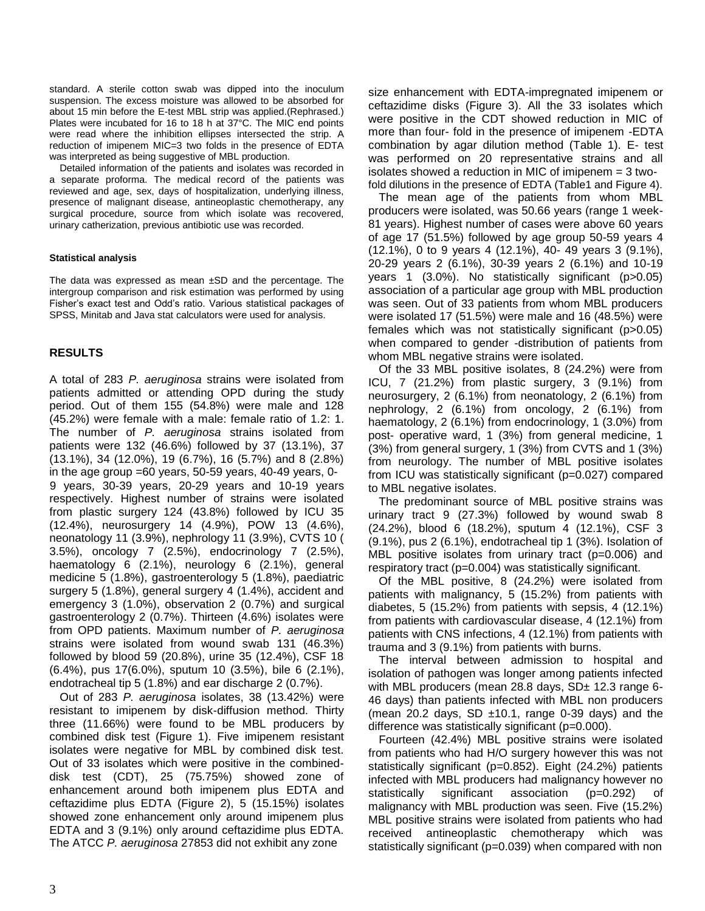standard. A sterile cotton swab was dipped into the inoculum suspension. The excess moisture was allowed to be absorbed for about 15 min before the E-test MBL strip was applied.(Rephrased.) Plates were incubated for 16 to 18 h at 37°C. The MIC end points were read where the inhibition ellipses intersected the strip. A reduction of imipenem MIC=3 two folds in the presence of EDTA was interpreted as being suggestive of MBL production.

Detailed information of the patients and isolates was recorded in a separate proforma. The medical record of the patients was reviewed and age, sex, days of hospitalization, underlying illness, presence of malignant disease, antineoplastic chemotherapy, any surgical procedure, source from which isolate was recovered, urinary catherization, previous antibiotic use was recorded.

## **Statistical analysis**

The data was expressed as mean ±SD and the percentage. The intergroup comparison and risk estimation was performed by using Fisher's exact test and Odd's ratio. Various statistical packages of SPSS, Minitab and Java stat calculators were used for analysis.

## **RESULTS**

A total of 283 *P. aeruginosa* strains were isolated from patients admitted or attending OPD during the study period. Out of them 155 (54.8%) were male and 128 (45.2%) were female with a male: female ratio of 1.2: 1. The number of *P. aeruginosa* strains isolated from patients were 132 (46.6%) followed by 37 (13.1%), 37 (13.1%), 34 (12.0%), 19 (6.7%), 16 (5.7%) and 8 (2.8%) in the age group =60 years, 50-59 years, 40-49 years, 0- 9 years, 30-39 years, 20-29 years and 10-19 years respectively. Highest number of strains were isolated from plastic surgery 124 (43.8%) followed by ICU 35 (12.4%), neurosurgery 14 (4.9%), POW 13 (4.6%), neonatology 11 (3.9%), nephrology 11 (3.9%), CVTS 10 ( 3.5%), oncology 7 (2.5%), endocrinology 7 (2.5%), haematology 6 (2.1%), neurology 6 (2.1%), general medicine 5 (1.8%), gastroenterology 5 (1.8%), paediatric surgery 5 (1.8%), general surgery 4 (1.4%), accident and emergency 3 (1.0%), observation 2 (0.7%) and surgical gastroenterology 2 (0.7%). Thirteen (4.6%) isolates were from OPD patients. Maximum number of *P. aeruginosa* strains were isolated from wound swab 131 (46.3%) followed by blood 59 (20.8%), urine 35 (12.4%), CSF 18 (6.4%), pus 17(6.0%), sputum 10 (3.5%), bile 6 (2.1%), endotracheal tip 5 (1.8%) and ear discharge 2 (0.7%).

Out of 283 *P. aeruginosa* isolates, 38 (13.42%) were resistant to imipenem by disk-diffusion method. Thirty three (11.66%) were found to be MBL producers by combined disk test (Figure 1). Five imipenem resistant isolates were negative for MBL by combined disk test. Out of 33 isolates which were positive in the combineddisk test (CDT), 25 (75.75%) showed zone of enhancement around both imipenem plus EDTA and ceftazidime plus EDTA (Figure 2), 5 (15.15%) isolates showed zone enhancement only around imipenem plus EDTA and 3 (9.1%) only around ceftazidime plus EDTA. The ATCC *P. aeruginosa* 27853 did not exhibit any zone

size enhancement with EDTA-impregnated imipenem or ceftazidime disks (Figure 3). All the 33 isolates which were positive in the CDT showed reduction in MIC of more than four- fold in the presence of imipenem -EDTA combination by agar dilution method (Table 1). E- test was performed on 20 representative strains and all isolates showed a reduction in MIC of imipenem = 3 twofold dilutions in the presence of EDTA (Table1 and Figure 4).

The mean age of the patients from whom MBL producers were isolated, was 50.66 years (range 1 week-81 years). Highest number of cases were above 60 years of age 17 (51.5%) followed by age group 50-59 years 4 (12.1%), 0 to 9 years 4 (12.1%), 40- 49 years 3 (9.1%), 20-29 years 2 (6.1%), 30-39 years 2 (6.1%) and 10-19 years 1 (3.0%). No statistically significant (p>0.05) association of a particular age group with MBL production was seen. Out of 33 patients from whom MBL producers were isolated 17 (51.5%) were male and 16 (48.5%) were females which was not statistically significant (p>0.05) when compared to gender -distribution of patients from whom MBL negative strains were isolated.

Of the 33 MBL positive isolates, 8 (24.2%) were from ICU, 7 (21.2%) from plastic surgery, 3 (9.1%) from neurosurgery, 2 (6.1%) from neonatology, 2 (6.1%) from nephrology, 2 (6.1%) from oncology, 2 (6.1%) from haematology, 2 (6.1%) from endocrinology, 1 (3.0%) from post- operative ward, 1 (3%) from general medicine, 1 (3%) from general surgery, 1 (3%) from CVTS and 1 (3%) from neurology. The number of MBL positive isolates from ICU was statistically significant (p=0.027) compared to MBL negative isolates.

The predominant source of MBL positive strains was urinary tract 9 (27.3%) followed by wound swab 8 (24.2%), blood 6 (18.2%), sputum 4 (12.1%), CSF 3 (9.1%), pus 2 (6.1%), endotracheal tip 1 (3%). Isolation of MBL positive isolates from urinary tract (p=0.006) and respiratory tract (p=0.004) was statistically significant.

Of the MBL positive, 8 (24.2%) were isolated from patients with malignancy, 5 (15.2%) from patients with diabetes, 5 (15.2%) from patients with sepsis, 4 (12.1%) from patients with cardiovascular disease, 4 (12.1%) from patients with CNS infections, 4 (12.1%) from patients with trauma and 3 (9.1%) from patients with burns.

The interval between admission to hospital and isolation of pathogen was longer among patients infected with MBL producers (mean 28.8 days,  $SD<sub>±</sub>$  12.3 range 6-46 days) than patients infected with MBL non producers (mean 20.2 days, SD  $\pm$ 10.1, range 0-39 days) and the difference was statistically significant (p=0.000).

Fourteen (42.4%) MBL positive strains were isolated from patients who had H/O surgery however this was not statistically significant (p=0.852). Eight (24.2%) patients infected with MBL producers had malignancy however no statistically significant association (p=0.292) of malignancy with MBL production was seen. Five (15.2%) MBL positive strains were isolated from patients who had received antineoplastic chemotherapy which was statistically significant (p=0.039) when compared with non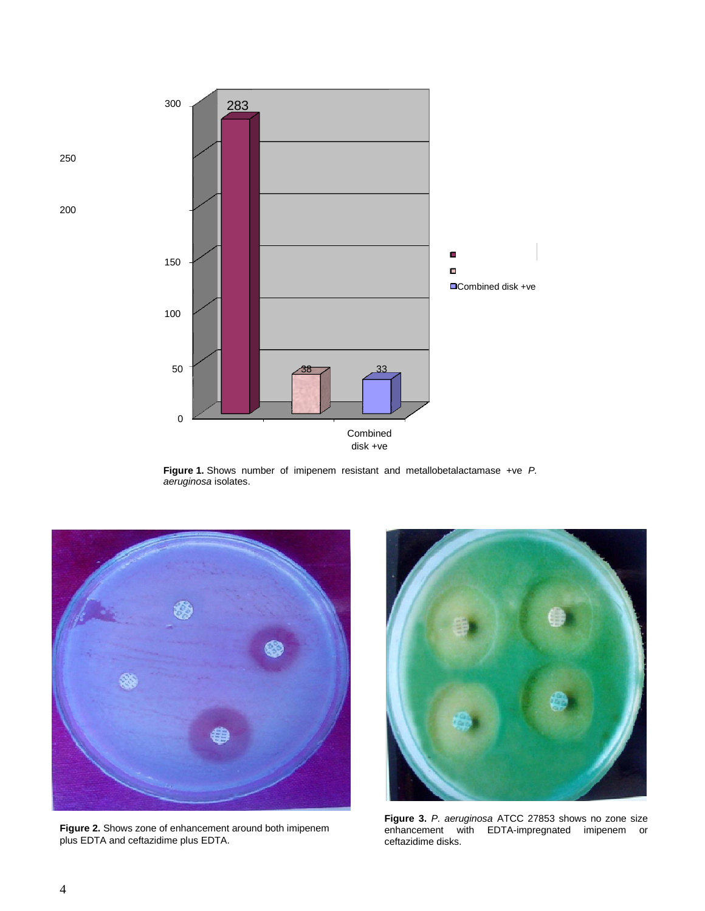

**Figure 1.** Shows number of imipenem resistant and metallobetalactamase +ve*P. aeruginosa* isolates.



**Figure 2.** Shows zone of enhancement around both imipenem plus EDTA and ceftazidime plus EDTA.



**Figure 3.** *P. aeruginosa* ATCC 27853 shows no zone size enhancement with EDTA-impregnated imipenem or ceftazidime disks.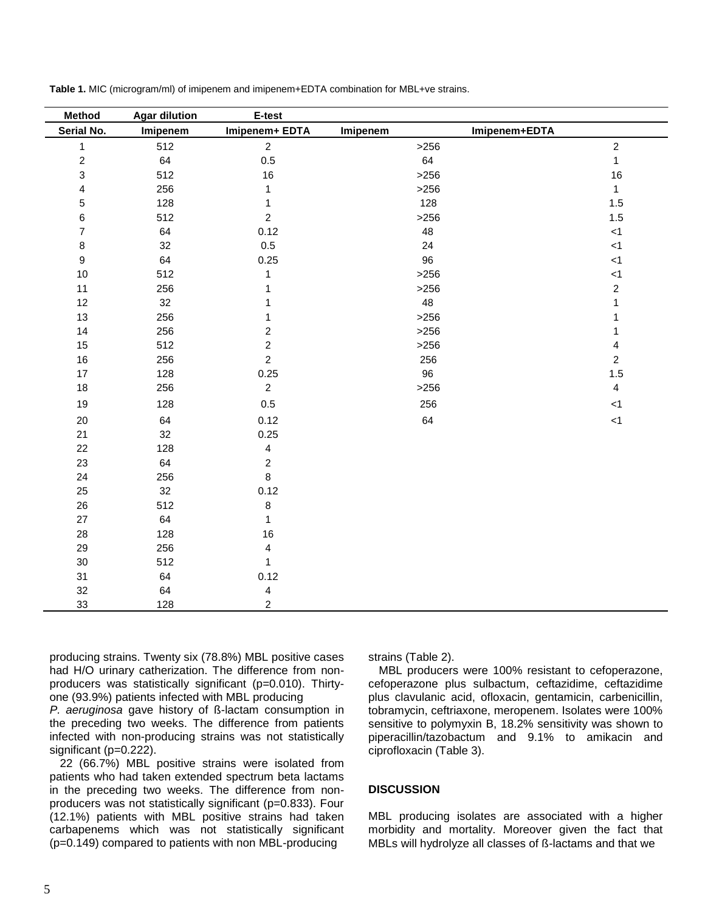| <b>Method</b>             | <b>Agar dilution</b> | E-test                  |                           |                  |
|---------------------------|----------------------|-------------------------|---------------------------|------------------|
| Serial No.                | Imipenem             | Imipenem+ EDTA          | Imipenem+EDTA<br>Imipenem |                  |
| $\mathbf{1}$              | 512                  | $\overline{2}$          | $>256$                    | $\overline{c}$   |
| $\sqrt{2}$                | 64                   | 0.5                     | 64                        | $\mathbf{1}$     |
| $\ensuremath{\mathsf{3}}$ | 512                  | 16                      | >256                      | 16               |
| $\overline{\mathbf{4}}$   | 256                  | 1                       | >256                      | $\mathbf{1}$     |
| 5                         | 128                  | $\mathbf 1$             | 128                       | 1.5              |
| 6                         | 512                  | $\overline{2}$          | $>256$                    | 1.5              |
| 7                         | 64                   | 0.12                    | 48                        | $<1\,$           |
| $\bf 8$                   | 32                   | 0.5                     | 24                        | $<1\,$           |
| $\boldsymbol{9}$          | 64                   | 0.25                    | 96                        | < 1              |
| $10$                      | 512                  | $\mathbf{1}$            | >256                      | < 1              |
| 11                        | 256                  | 1                       | $>256$                    | $\boldsymbol{2}$ |
| 12                        | 32                   | 1                       | 48                        | 1                |
| 13                        | 256                  | 1                       | >256                      | 1                |
| 14                        | 256                  | $\overline{2}$          | >256                      | 1                |
| 15                        | 512                  | $\overline{c}$          | >256                      | 4                |
| $16\,$                    | 256                  | $\overline{2}$          | 256                       | $\overline{2}$   |
| $17\,$                    | 128                  | 0.25                    | 96                        | $1.5\,$          |
| 18                        | 256                  | $\overline{2}$          | >256                      | $\overline{4}$   |
| 19                        | 128                  | $0.5\,$                 | 256                       | < 1              |
| $20\,$                    | 64                   | 0.12                    | 64                        | < 1              |
| 21                        | 32                   | 0.25                    |                           |                  |
| 22                        | 128                  | $\overline{4}$          |                           |                  |
| 23                        | 64                   | $\overline{2}$          |                           |                  |
| 24                        | 256                  | 8                       |                           |                  |
| 25                        | 32                   | 0.12                    |                           |                  |
| 26                        | 512                  | $\bf 8$                 |                           |                  |
| 27                        | 64                   | $\mathbf{1}$            |                           |                  |
| 28                        | 128                  | 16                      |                           |                  |
| 29                        | 256                  | $\overline{\mathbf{4}}$ |                           |                  |
| $30\,$                    | 512                  | $\mathbf{1}$            |                           |                  |
| 31                        | 64                   | 0.12                    |                           |                  |
| 32                        | 64                   | $\overline{\mathbf{4}}$ |                           |                  |
| 33                        | 128                  | $\overline{2}$          |                           |                  |

**Table 1.** MIC (microgram/ml) of imipenem and imipenem+EDTA combination for MBL+ve strains.

producing strains. Twenty six (78.8%) MBL positive cases had H/O urinary catherization. The difference from nonproducers was statistically significant (p=0.010). Thirtyone (93.9%) patients infected with MBL producing

*P. aeruginosa* gave history of ß-lactam consumption in the preceding two weeks. The difference from patients infected with non-producing strains was not statistically significant (p=0.222).

22 (66.7%) MBL positive strains were isolated from patients who had taken extended spectrum beta lactams in the preceding two weeks. The difference from nonproducers was not statistically significant (p=0.833). Four (12.1%) patients with MBL positive strains had taken carbapenems which was not statistically significant (p=0.149) compared to patients with non MBL-producing

strains (Table 2).

MBL producers were 100% resistant to cefoperazone, cefoperazone plus sulbactum, ceftazidime, ceftazidime plus clavulanic acid, ofloxacin, gentamicin, carbenicillin, tobramycin, ceftriaxone, meropenem. Isolates were 100% sensitive to polymyxin B, 18.2% sensitivity was shown to piperacillin/tazobactum and 9.1% to amikacin and ciprofloxacin (Table 3).

## **DISCUSSION**

MBL producing isolates are associated with a higher morbidity and mortality. Moreover given the fact that MBLs will hydrolyze all classes of ß-lactams and that we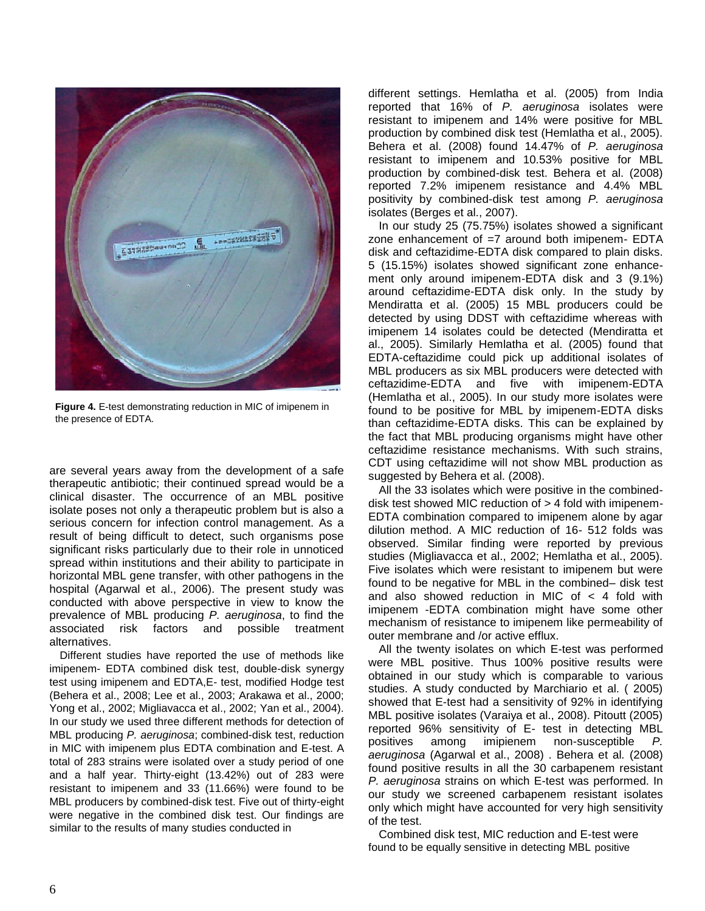

**Figure 4.** E-test demonstrating reduction in MIC of imipenem in the presence of EDTA.

are several years away from the development of a safe therapeutic antibiotic; their continued spread would be a clinical disaster. The occurrence of an MBL positive isolate poses not only a therapeutic problem but is also a serious concern for infection control management. As a result of being difficult to detect, such organisms pose significant risks particularly due to their role in unnoticed spread within institutions and their ability to participate in horizontal MBL gene transfer, with other pathogens in the hospital (Agarwal et al., 2006). The present study was conducted with above perspective in view to know the prevalence of MBL producing *P. aeruginosa*, to find the associated risk factors and possible treatment alternatives.

Different studies have reported the use of methods like imipenem- EDTA combined disk test, double-disk synergy test using imipenem and EDTA,E- test, modified Hodge test (Behera et al., 2008; Lee et al., 2003; Arakawa et al., 2000; Yong et al., 2002; Migliavacca et al., 2002; Yan et al., 2004). In our study we used three different methods for detection of MBL producing *P. aeruginosa*; combined-disk test, reduction in MIC with imipenem plus EDTA combination and E-test. A total of 283 strains were isolated over a study period of one and a half year. Thirty-eight (13.42%) out of 283 were resistant to imipenem and 33 (11.66%) were found to be MBL producers by combined-disk test. Five out of thirty-eight were negative in the combined disk test. Our findings are similar to the results of many studies conducted in

different settings. Hemlatha et al. (2005) from India reported that 16% of *P. aeruginosa* isolates were resistant to imipenem and 14% were positive for MBL production by combined disk test (Hemlatha et al., 2005). Behera et al. (2008) found 14.47% of *P. aeruginosa* resistant to imipenem and 10.53% positive for MBL production by combined-disk test. Behera et al. (2008) reported 7.2% imipenem resistance and 4.4% MBL positivity by combined-disk test among *P. aeruginosa* isolates (Berges et al., 2007).

In our study 25 (75.75%) isolates showed a significant zone enhancement of  $=7$  around both imipenem- EDTA disk and ceftazidime-EDTA disk compared to plain disks. 5 (15.15%) isolates showed significant zone enhancement only around imipenem-EDTA disk and 3 (9.1%) around ceftazidime-EDTA disk only. In the study by Mendiratta et al. (2005) 15 MBL producers could be detected by using DDST with ceftazidime whereas with imipenem 14 isolates could be detected (Mendiratta et al., 2005). Similarly Hemlatha et al. (2005) found that EDTA-ceftazidime could pick up additional isolates of MBL producers as six MBL producers were detected with ceftazidime-EDTA and five with imipenem-EDTA (Hemlatha et al., 2005). In our study more isolates were found to be positive for MBL by imipenem-EDTA disks than ceftazidime-EDTA disks. This can be explained by the fact that MBL producing organisms might have other ceftazidime resistance mechanisms. With such strains, CDT using ceftazidime will not show MBL production as suggested by Behera et al. (2008).

All the 33 isolates which were positive in the combineddisk test showed MIC reduction of > 4 fold with imipenem-EDTA combination compared to imipenem alone by agar dilution method. A MIC reduction of 16- 512 folds was observed. Similar finding were reported by previous studies (Migliavacca et al., 2002; Hemlatha et al., 2005). Five isolates which were resistant to imipenem but were found to be negative for MBL in the combined– disk test and also showed reduction in MIC of < 4 fold with imipenem -EDTA combination might have some other mechanism of resistance to imipenem like permeability of outer membrane and /or active efflux.

All the twenty isolates on which E-test was performed were MBL positive. Thus 100% positive results were obtained in our study which is comparable to various studies. A study conducted by Marchiario et al. ( 2005) showed that E-test had a sensitivity of 92% in identifying MBL positive isolates (Varaiya et al., 2008). Pitoutt (2005) reported 96% sensitivity of E- test in detecting MBL positives among imipienem non-susceptible *P. aeruginosa* (Agarwal et al., 2008) . Behera et al*.* (2008) found positive results in all the 30 carbapenem resistant *P. aeruginosa* strains on which E-test was performed. In our study we screened carbapenem resistant isolates only which might have accounted for very high sensitivity of the test.

Combined disk test, MIC reduction and E-test were found to be equally sensitive in detecting MBL positive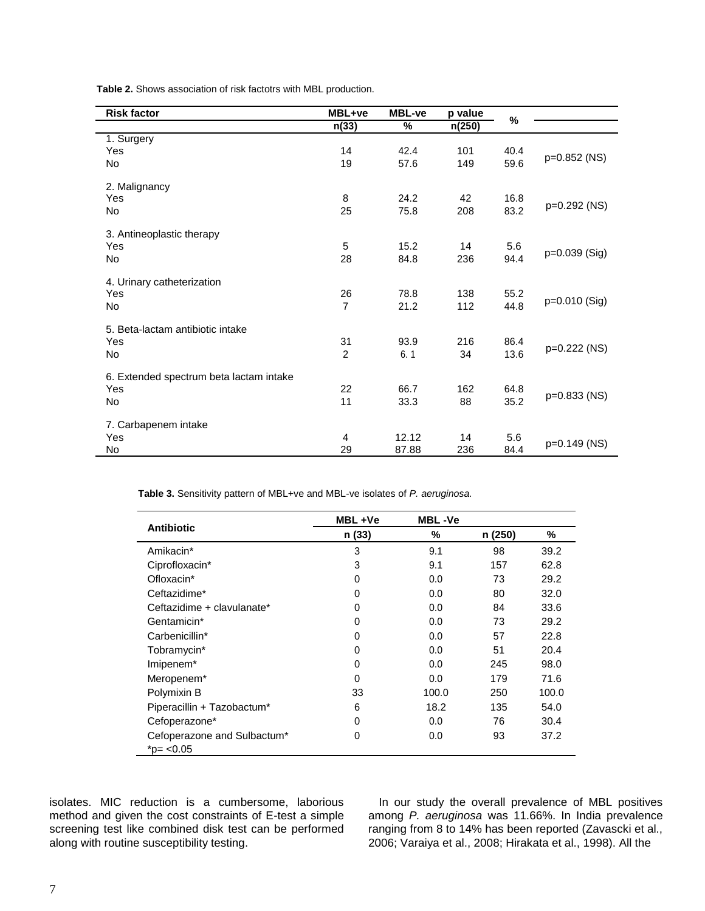**Table 2.** Shows association of risk factotrs with MBL production.

| <b>Risk factor</b>                      | MBL+ve         | <b>MBL-ve</b> | p value |      |               |  |
|-----------------------------------------|----------------|---------------|---------|------|---------------|--|
|                                         | n(33)          | %             | n(250)  | %    |               |  |
| 1. Surgery                              |                |               |         |      |               |  |
| Yes                                     | 14             | 42.4          | 101     | 40.4 | p=0.852 (NS)  |  |
| <b>No</b>                               | 19             | 57.6          | 149     | 59.6 |               |  |
| 2. Malignancy                           |                |               |         |      |               |  |
| Yes                                     | 8              | 24.2          | 42      | 16.8 |               |  |
| No                                      | 25             | 75.8          | 208     | 83.2 | p=0.292 (NS)  |  |
| 3. Antineoplastic therapy               |                |               |         |      |               |  |
| Yes                                     | 5              | 15.2          | 14      | 5.6  |               |  |
| No                                      | 28             | 84.8          | 236     | 94.4 | p=0.039 (Sig) |  |
| 4. Urinary catheterization              |                |               |         |      |               |  |
| Yes                                     | 26             | 78.8          | 138     | 55.2 |               |  |
| <b>No</b>                               | $\overline{7}$ | 21.2          | 112     | 44.8 | p=0.010 (Sig) |  |
| 5. Beta-lactam antibiotic intake        |                |               |         |      |               |  |
| Yes                                     | 31             | 93.9          | 216     | 86.4 |               |  |
| No                                      | $\overline{2}$ | 6.1           | 34      | 13.6 | p=0.222 (NS)  |  |
| 6. Extended spectrum beta lactam intake |                |               |         |      |               |  |
| Yes                                     | 22             | 66.7          | 162     | 64.8 |               |  |
| <b>No</b>                               | 11             | 33.3          | 88      | 35.2 | p=0.833 (NS)  |  |
| 7. Carbapenem intake                    |                |               |         |      |               |  |
| Yes                                     | 4              | 12.12         | 14      | 5.6  |               |  |
| No                                      | 29             | 87.88         | 236     | 84.4 | p=0.149 (NS)  |  |

**Table 3.** Sensitivity pattern of MBL+ve and MBL-ve isolates of *P. aeruginosa.*

|                                          | MBL+Ve       | <b>MBL-Ve</b> |         |       |
|------------------------------------------|--------------|---------------|---------|-------|
| <b>Antibiotic</b>                        | n (33)       | %             | n (250) | %     |
| Amikacin*                                | 3            | 9.1           | 98      | 39.2  |
| Ciprofloxacin*                           | 3            | 9.1           | 157     | 62.8  |
| Ofloxacin*                               | 0            | 0.0           | 73      | 29.2  |
| Ceftazidime*                             | 0            | 0.0           | 80      | 32.0  |
| Ceftazidime + clavulanate*               | 0            | 0.0           | 84      | 33.6  |
| Gentamicin*                              | 0            | 0.0           | 73      | 29.2  |
| Carbenicillin*                           | 0            | 0.0           | 57      | 22.8  |
| Tobramycin*                              | 0            | 0.0           | 51      | 20.4  |
| Imipenem*                                | 0            | 0.0           | 245     | 98.0  |
| Meropenem <sup>*</sup>                   | <sup>0</sup> | 0.0           | 179     | 71.6  |
| Polymixin B                              | 33           | 100.0         | 250     | 100.0 |
| Piperacillin + Tazobactum*               | 6            | 18.2          | 135     | 54.0  |
| Cefoperazone*                            | 0            | 0.0           | 76      | 30.4  |
| Cefoperazone and Sulbactum*<br>*p= <0.05 | 0            | 0.0           | 93      | 37.2  |

isolates. MIC reduction is a cumbersome, laborious method and given the cost constraints of E-test a simple screening test like combined disk test can be performed along with routine susceptibility testing.

In our study the overall prevalence of MBL positives among *P. aeruginosa* was 11.66%. In India prevalence ranging from 8 to 14% has been reported (Zavascki et al., 2006; Varaiya et al., 2008; Hirakata et al., 1998). All the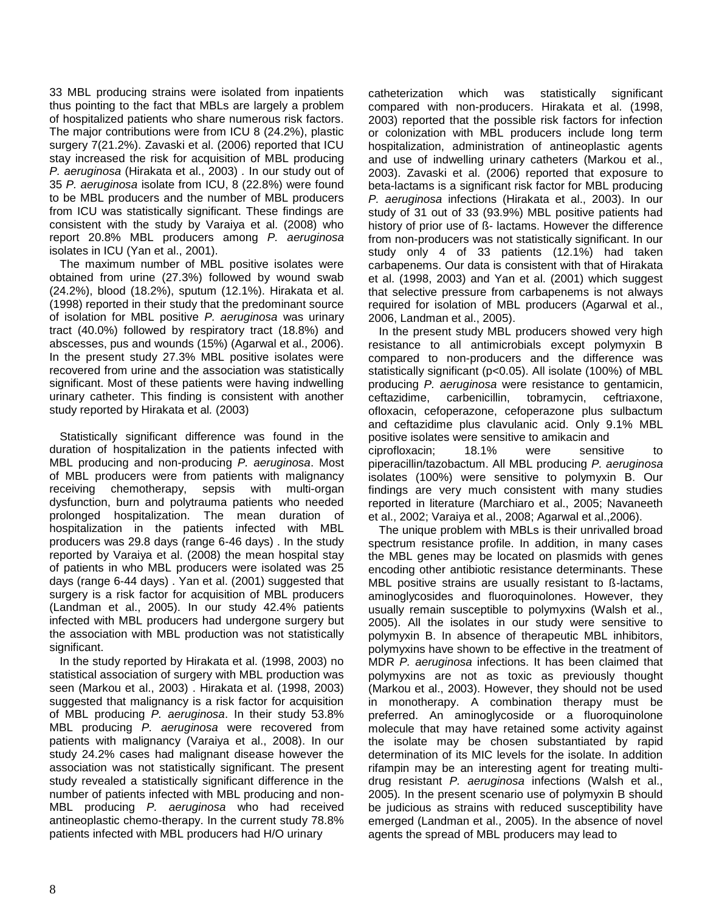33 MBL producing strains were isolated from inpatients thus pointing to the fact that MBLs are largely a problem of hospitalized patients who share numerous risk factors. The major contributions were from ICU 8 (24.2%), plastic surgery 7(21.2%). Zavaski et al. (2006) reported that ICU stay increased the risk for acquisition of MBL producing *P. aeruginosa* (Hirakata et al., 2003) *.* In our study out of 35 *P. aeruginosa* isolate from ICU, 8 (22.8%) were found to be MBL producers and the number of MBL producers from ICU was statistically significant. These findings are consistent with the study by Varaiya et al. (2008) who report 20.8% MBL producers among *P. aeruginosa* isolates in ICU (Yan et al., 2001).

The maximum number of MBL positive isolates were obtained from urine (27.3%) followed by wound swab (24.2%), blood (18.2%), sputum (12.1%). Hirakata et al. (1998) reported in their study that the predominant source of isolation for MBL positive *P. aeruginosa* was urinary tract (40.0%) followed by respiratory tract (18.8%) and abscesses, pus and wounds (15%) (Agarwal et al., 2006). In the present study 27.3% MBL positive isolates were recovered from urine and the association was statistically significant. Most of these patients were having indwelling urinary catheter. This finding is consistent with another study reported by Hirakata et al*.* (2003)

Statistically significant difference was found in the duration of hospitalization in the patients infected with MBL producing and non-producing *P. aeruginosa*. Most of MBL producers were from patients with malignancy receiving chemotherapy, sepsis with multi-organ dysfunction, burn and polytrauma patients who needed prolonged hospitalization. The mean duration of hospitalization in the patients infected with MBL producers was 29.8 days (range 6-46 days) . In the study reported by Varaiya et al. (2008) the mean hospital stay of patients in who MBL producers were isolated was 25 days (range 6-44 days) . Yan et al. (2001) suggested that surgery is a risk factor for acquisition of MBL producers (Landman et al., 2005). In our study 42.4% patients infected with MBL producers had undergone surgery but the association with MBL production was not statistically significant.

In the study reported by Hirakata et al. (1998, 2003) no statistical association of surgery with MBL production was seen (Markou et al., 2003) . Hirakata et al. (1998, 2003) suggested that malignancy is a risk factor for acquisition of MBL producing *P. aeruginosa*. In their study 53.8% MBL producing *P. aeruginosa* were recovered from patients with malignancy (Varaiya et al., 2008). In our study 24.2% cases had malignant disease however the association was not statistically significant. The present study revealed a statistically significant difference in the number of patients infected with MBL producing and non-MBL producing *P. aeruginosa* who had received antineoplastic chemo-therapy. In the current study 78.8% patients infected with MBL producers had H/O urinary

catheterization which was statistically significant compared with non-producers. Hirakata et al. (1998, 2003) reported that the possible risk factors for infection or colonization with MBL producers include long term hospitalization, administration of antineoplastic agents and use of indwelling urinary catheters (Markou et al., 2003). Zavaski et al. (2006) reported that exposure to beta-lactams is a significant risk factor for MBL producing *P. aeruginosa* infections (Hirakata et al., 2003). In our study of 31 out of 33 (93.9%) MBL positive patients had history of prior use of ß- lactams. However the difference from non-producers was not statistically significant. In our study only 4 of 33 patients (12.1%) had taken carbapenems. Our data is consistent with that of Hirakata et al. (1998, 2003) and Yan et al. (2001) which suggest that selective pressure from carbapenems is not always required for isolation of MBL producers (Agarwal et al., 2006, Landman et al., 2005).

In the present study MBL producers showed very high resistance to all antimicrobials except polymyxin B compared to non-producers and the difference was statistically significant (p<0.05). All isolate (100%) of MBL producing *P. aeruginosa* were resistance to gentamicin, ceftazidime, carbenicillin, tobramycin, ceftriaxone, ofloxacin, cefoperazone, cefoperazone plus sulbactum and ceftazidime plus clavulanic acid. Only 9.1% MBL positive isolates were sensitive to amikacin and ciprofloxacin; 18.1% were sensitive to piperacillin/tazobactum. All MBL producing *P. aeruginosa* isolates (100%) were sensitive to polymyxin B. Our findings are very much consistent with many studies reported in literature (Marchiaro et al., 2005; Navaneeth et al., 2002; Varaiya et al., 2008; Agarwal et al.,2006).

The unique problem with MBLs is their unrivalled broad spectrum resistance profile. In addition, in many cases the MBL genes may be located on plasmids with genes encoding other antibiotic resistance determinants. These MBL positive strains are usually resistant to ß-lactams, aminoglycosides and fluoroquinolones. However, they usually remain susceptible to polymyxins (Walsh et al., 2005). All the isolates in our study were sensitive to polymyxin B. In absence of therapeutic MBL inhibitors, polymyxins have shown to be effective in the treatment of MDR *P. aeruginosa* infections. It has been claimed that polymyxins are not as toxic as previously thought (Markou et al., 2003). However, they should not be used in monotherapy. A combination therapy must be preferred. An aminoglycoside or a fluoroquinolone molecule that may have retained some activity against the isolate may be chosen substantiated by rapid determination of its MIC levels for the isolate. In addition rifampin may be an interesting agent for treating multidrug resistant *P. aeruginosa* infections (Walsh et al., 2005)*.* In the present scenario use of polymyxin B should be judicious as strains with reduced susceptibility have emerged (Landman et al., 2005). In the absence of novel agents the spread of MBL producers may lead to